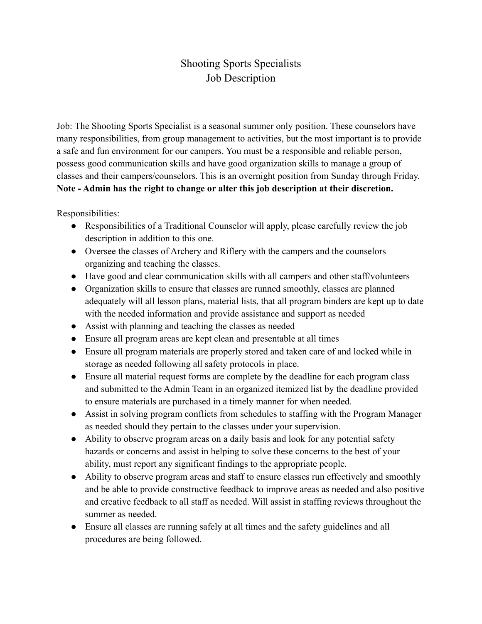## Shooting Sports Specialists Job Description

Job: The Shooting Sports Specialist is a seasonal summer only position. These counselors have many responsibilities, from group management to activities, but the most important is to provide a safe and fun environment for our campers. You must be a responsible and reliable person, possess good communication skills and have good organization skills to manage a group of classes and their campers/counselors. This is an overnight position from Sunday through Friday. **Note - Admin has the right to change or alter this job description at their discretion.**

Responsibilities:

- Responsibilities of a Traditional Counselor will apply, please carefully review the job description in addition to this one.
- Oversee the classes of Archery and Riflery with the campers and the counselors organizing and teaching the classes.
- Have good and clear communication skills with all campers and other staff/volunteers
- Organization skills to ensure that classes are runned smoothly, classes are planned adequately will all lesson plans, material lists, that all program binders are kept up to date with the needed information and provide assistance and support as needed
- Assist with planning and teaching the classes as needed
- Ensure all program areas are kept clean and presentable at all times
- Ensure all program materials are properly stored and taken care of and locked while in storage as needed following all safety protocols in place.
- Ensure all material request forms are complete by the deadline for each program class and submitted to the Admin Team in an organized itemized list by the deadline provided to ensure materials are purchased in a timely manner for when needed.
- Assist in solving program conflicts from schedules to staffing with the Program Manager as needed should they pertain to the classes under your supervision.
- Ability to observe program areas on a daily basis and look for any potential safety hazards or concerns and assist in helping to solve these concerns to the best of your ability, must report any significant findings to the appropriate people.
- Ability to observe program areas and staff to ensure classes run effectively and smoothly and be able to provide constructive feedback to improve areas as needed and also positive and creative feedback to all staff as needed. Will assist in staffing reviews throughout the summer as needed.
- Ensure all classes are running safely at all times and the safety guidelines and all procedures are being followed.